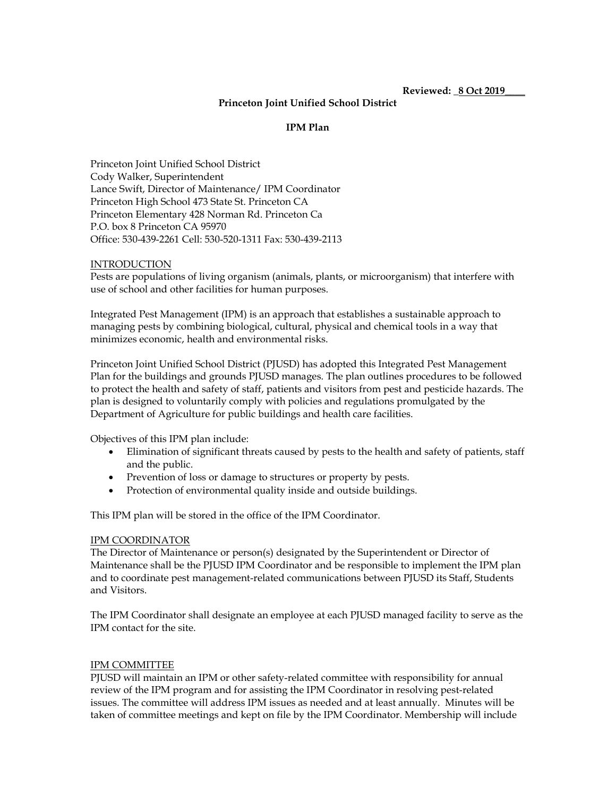**Reviewed: \_8 Oct 2019\_\_\_\_**

### **Princeton Joint Unified School District**

### **IPM Plan**

Princeton Joint Unified School District Cody Walker, Superintendent Lance Swift, Director of Maintenance/ IPM Coordinator Princeton High School 473 State St. Princeton CA Princeton Elementary 428 Norman Rd. Princeton Ca P.O. box 8 Princeton CA 95970 Office: 530-439-2261 Cell: 530-520-1311 Fax: 530-439-2113

#### **INTRODUCTION**

Pests are populations of living organism (animals, plants, or microorganism) that interfere with use of school and other facilities for human purposes.

Integrated Pest Management (IPM) is an approach that establishes a sustainable approach to managing pests by combining biological, cultural, physical and chemical tools in a way that minimizes economic, health and environmental risks.

Princeton Joint Unified School District (PJUSD) has adopted this Integrated Pest Management Plan for the buildings and grounds PJUSD manages. The plan outlines procedures to be followed to protect the health and safety of staff, patients and visitors from pest and pesticide hazards. The plan is designed to voluntarily comply with policies and regulations promulgated by the Department of Agriculture for public buildings and health care facilities.

Objectives of this IPM plan include:

- Elimination of significant threats caused by pests to the health and safety of patients, staff and the public.
- Prevention of loss or damage to structures or property by pests.
- Protection of environmental quality inside and outside buildings.

This IPM plan will be stored in the office of the IPM Coordinator.

### IPM COORDINATOR

The Director of Maintenance or person(s) designated by the Superintendent or Director of Maintenance shall be the PJUSD IPM Coordinator and be responsible to implement the IPM plan and to coordinate pest management-related communications between PJUSD its Staff, Students and Visitors.

The IPM Coordinator shall designate an employee at each PJUSD managed facility to serve as the IPM contact for the site.

#### IPM COMMITTEE

PJUSD will maintain an IPM or other safety-related committee with responsibility for annual review of the IPM program and for assisting the IPM Coordinator in resolving pest-related issues. The committee will address IPM issues as needed and at least annually. Minutes will be taken of committee meetings and kept on file by the IPM Coordinator. Membership will include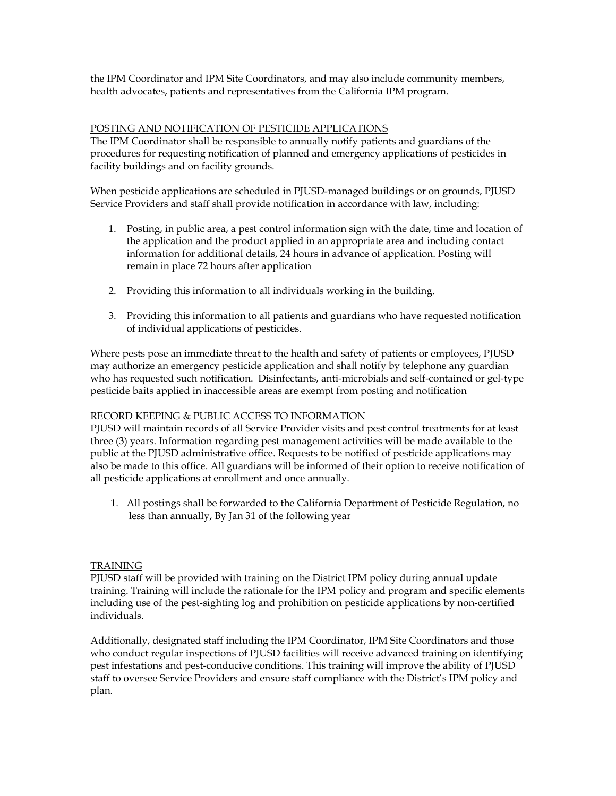the IPM Coordinator and IPM Site Coordinators, and may also include community members, health advocates, patients and representatives from the California IPM program.

## POSTING AND NOTIFICATION OF PESTICIDE APPLICATIONS

The IPM Coordinator shall be responsible to annually notify patients and guardians of the procedures for requesting notification of planned and emergency applications of pesticides in facility buildings and on facility grounds.

When pesticide applications are scheduled in PJUSD-managed buildings or on grounds, PJUSD Service Providers and staff shall provide notification in accordance with law, including:

- 1. Posting, in public area, a pest control information sign with the date, time and location of the application and the product applied in an appropriate area and including contact information for additional details, 24 hours in advance of application. Posting will remain in place 72 hours after application
- 2. Providing this information to all individuals working in the building.
- 3. Providing this information to all patients and guardians who have requested notification of individual applications of pesticides.

Where pests pose an immediate threat to the health and safety of patients or employees, PJUSD may authorize an emergency pesticide application and shall notify by telephone any guardian who has requested such notification. Disinfectants, anti-microbials and self-contained or gel-type pesticide baits applied in inaccessible areas are exempt from posting and notification

## RECORD KEEPING & PUBLIC ACCESS TO INFORMATION

PJUSD will maintain records of all Service Provider visits and pest control treatments for at least three (3) years. Information regarding pest management activities will be made available to the public at the PJUSD administrative office. Requests to be notified of pesticide applications may also be made to this office. All guardians will be informed of their option to receive notification of all pesticide applications at enrollment and once annually.

1. All postings shall be forwarded to the California Department of Pesticide Regulation, no less than annually, By Jan 31 of the following year

## TRAINING

PJUSD staff will be provided with training on the District IPM policy during annual update training. Training will include the rationale for the IPM policy and program and specific elements including use of the pest-sighting log and prohibition on pesticide applications by non-certified individuals.

Additionally, designated staff including the IPM Coordinator, IPM Site Coordinators and those who conduct regular inspections of PJUSD facilities will receive advanced training on identifying pest infestations and pest-conducive conditions. This training will improve the ability of PJUSD staff to oversee Service Providers and ensure staff compliance with the District's IPM policy and plan.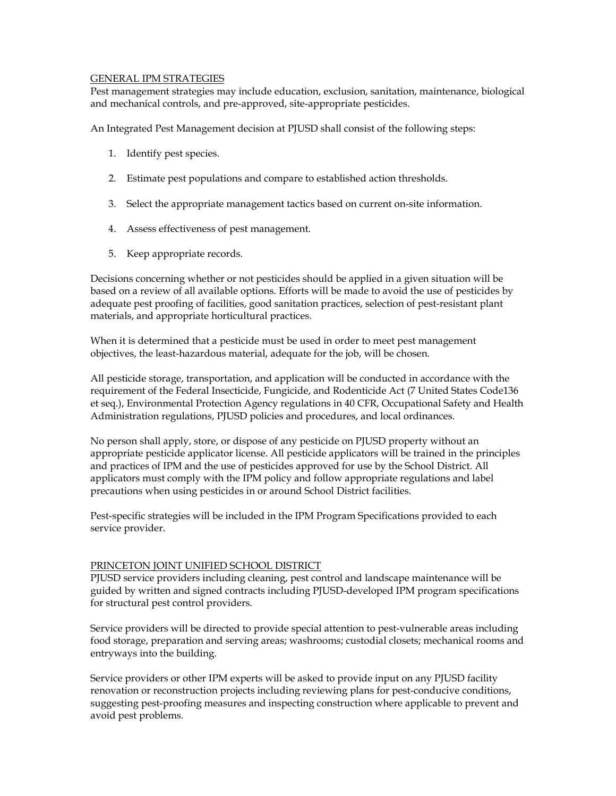### GENERAL IPM STRATEGIES

Pest management strategies may include education, exclusion, sanitation, maintenance, biological and mechanical controls, and pre-approved, site-appropriate pesticides.

An Integrated Pest Management decision at PJUSD shall consist of the following steps:

- 1. Identify pest species.
- 2. Estimate pest populations and compare to established action thresholds.
- 3. Select the appropriate management tactics based on current on-site information.
- 4. Assess effectiveness of pest management.
- 5. Keep appropriate records.

Decisions concerning whether or not pesticides should be applied in a given situation will be based on a review of all available options. Efforts will be made to avoid the use of pesticides by adequate pest proofing of facilities, good sanitation practices, selection of pest-resistant plant materials, and appropriate horticultural practices.

When it is determined that a pesticide must be used in order to meet pest management objectives, the least-hazardous material, adequate for the job, will be chosen.

All pesticide storage, transportation, and application will be conducted in accordance with the requirement of the Federal Insecticide, Fungicide, and Rodenticide Act (7 United States Code136 et seq.), Environmental Protection Agency regulations in 40 CFR, Occupational Safety and Health Administration regulations, PJUSD policies and procedures, and local ordinances.

No person shall apply, store, or dispose of any pesticide on PJUSD property without an appropriate pesticide applicator license. All pesticide applicators will be trained in the principles and practices of IPM and the use of pesticides approved for use by the School District. All applicators must comply with the IPM policy and follow appropriate regulations and label precautions when using pesticides in or around School District facilities.

Pest-specific strategies will be included in the IPM Program Specifications provided to each service provider.

### PRINCETON JOINT UNIFIED SCHOOL DISTRICT

PJUSD service providers including cleaning, pest control and landscape maintenance will be guided by written and signed contracts including PJUSD-developed IPM program specifications for structural pest control providers.

Service providers will be directed to provide special attention to pest-vulnerable areas including food storage, preparation and serving areas; washrooms; custodial closets; mechanical rooms and entryways into the building.

Service providers or other IPM experts will be asked to provide input on any PJUSD facility renovation or reconstruction projects including reviewing plans for pest-conducive conditions, suggesting pest-proofing measures and inspecting construction where applicable to prevent and avoid pest problems.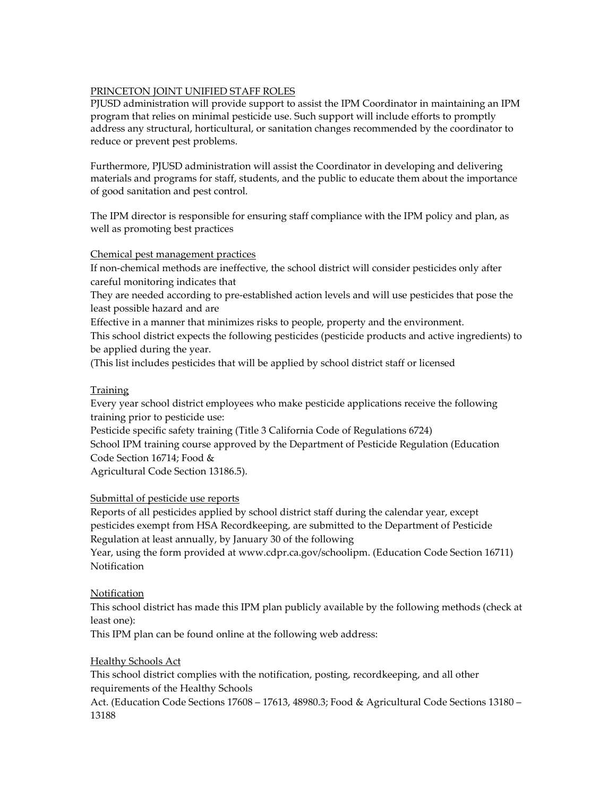## PRINCETON JOINT UNIFIED STAFF ROLES

PJUSD administration will provide support to assist the IPM Coordinator in maintaining an IPM program that relies on minimal pesticide use. Such support will include efforts to promptly address any structural, horticultural, or sanitation changes recommended by the coordinator to reduce or prevent pest problems.

Furthermore, PJUSD administration will assist the Coordinator in developing and delivering materials and programs for staff, students, and the public to educate them about the importance of good sanitation and pest control.

The IPM director is responsible for ensuring staff compliance with the IPM policy and plan, as well as promoting best practices

## Chemical pest management practices

If non-chemical methods are ineffective, the school district will consider pesticides only after careful monitoring indicates that

They are needed according to pre-established action levels and will use pesticides that pose the least possible hazard and are

Effective in a manner that minimizes risks to people, property and the environment.

This school district expects the following pesticides (pesticide products and active ingredients) to be applied during the year.

(This list includes pesticides that will be applied by school district staff or licensed

## Training

Every year school district employees who make pesticide applications receive the following training prior to pesticide use:

Pesticide specific safety training (Title 3 California Code of Regulations 6724)

School IPM training course approved by the Department of Pesticide Regulation (Education Code Section 16714; Food &

Agricultural Code Section 13186.5).

# Submittal of pesticide use reports

Reports of all pesticides applied by school district staff during the calendar year, except pesticides exempt from HSA Recordkeeping, are submitted to the Department of Pesticide Regulation at least annually, by January 30 of the following

Year, using the form provided at www.cdpr.ca.gov/schoolipm. (Education Code Section 16711) **Notification** 

# Notification

This school district has made this IPM plan publicly available by the following methods (check at least one):

This IPM plan can be found online at the following web address:

## Healthy Schools Act

This school district complies with the notification, posting, recordkeeping, and all other requirements of the Healthy Schools

Act. (Education Code Sections 17608 – 17613, 48980.3; Food & Agricultural Code Sections 13180 – 13188